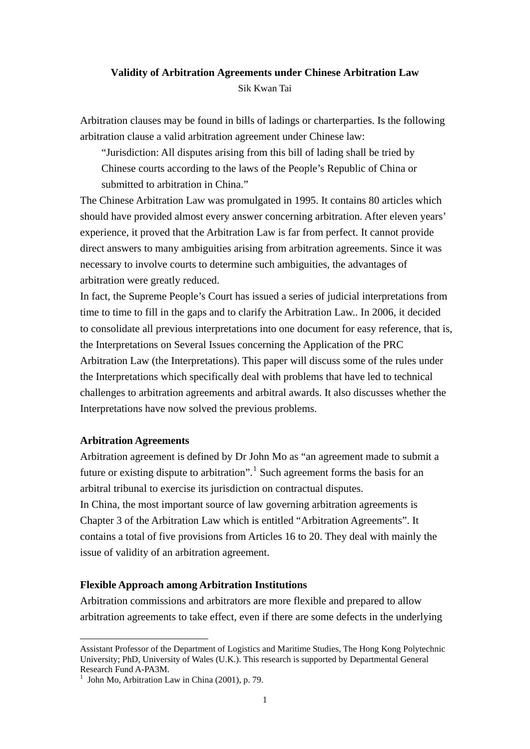# **Validity of Arbitration Agreements under Chinese Arbitration Law**  Sik Kwan Tai

Arbitration clauses may be found in bills of ladings or charterparties. Is the following arbitration clause a valid arbitration agreement under Chinese law:

"Jurisdiction: All disputes arising from this bill of lading shall be tried by Chinese courts according to the laws of the People's Republic of China or submitted to arbitration in China."

The Chinese Arbitration Law was promulgated in 1995. It contains 80 articles which should have provided almost every answer concerning arbitration. After eleven years' experience, it proved that the Arbitration Law is far from perfect. It cannot provide direct answers to many ambiguities arising from arbitration agreements. Since it was necessary to involve courts to determine such ambiguities, the advantages of arbitration were greatly reduced.

In fact, the Supreme People's Court has issued a series of judicial interpretations from time to time to fill in the gaps and to clarify the Arbitration Law.. In 2006, it decided to consolidate all previous interpretations into one document for easy reference, that is, the Interpretations on Several Issues concerning the Application of the PRC Arbitration Law (the Interpretations). This paper will discuss some of the rules under the Interpretations which specifically deal with problems that have led to technical challenges to arbitration agreements and arbitral awards. It also discusses whether the Interpretations have now solved the previous problems.

## **Arbitration Agreements**

1

Arbitration agreement is defined by Dr John Mo as "an agreement made to submit a future or existing dispute to arbitration".<sup>[1](#page-0-0)</sup> Such agreement forms the basis for an arbitral tribunal to exercise its jurisdiction on contractual disputes. In China, the most important source of law governing arbitration agreements is Chapter 3 of the Arbitration Law which is entitled "Arbitration Agreements". It contains a total of five provisions from Articles 16 to 20. They deal with mainly the issue of validity of an arbitration agreement.

## **Flexible Approach among Arbitration Institutions**

Arbitration commissions and arbitrators are more flexible and prepared to allow arbitration agreements to take effect, even if there are some defects in the underlying

<span id="page-0-0"></span>Assistant Professor of the Department of Logistics and Maritime Studies, The Hong Kong Polytechnic University; PhD, University of Wales (U.K.). This research is supported by Departmental General Research Fund A-PA3M.

<sup>&</sup>lt;sup>1</sup> John Mo, Arbitration Law in China (2001), p. 79.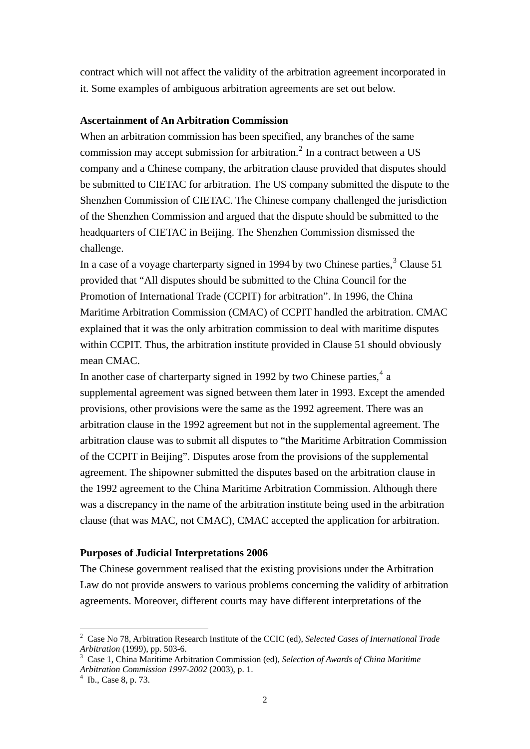contract which will not affect the validity of the arbitration agreement incorporated in it. Some examples of ambiguous arbitration agreements are set out below.

#### **Ascertainment of An Arbitration Commission**

When an arbitration commission has been specified, any branches of the same commission may accept submission for arbitration.<sup>[2](#page-1-0)</sup> In a contract between a US company and a Chinese company, the arbitration clause provided that disputes should be submitted to CIETAC for arbitration. The US company submitted the dispute to the Shenzhen Commission of CIETAC. The Chinese company challenged the jurisdiction of the Shenzhen Commission and argued that the dispute should be submitted to the headquarters of CIETAC in Beijing. The Shenzhen Commission dismissed the challenge.

In a case of a voyage charterparty signed in 1994 by two Chinese parties,<sup>[3](#page-1-1)</sup> Clause 51 provided that "All disputes should be submitted to the China Council for the Promotion of International Trade (CCPIT) for arbitration". In 1996, the China Maritime Arbitration Commission (CMAC) of CCPIT handled the arbitration. CMAC explained that it was the only arbitration commission to deal with maritime disputes within CCPIT. Thus, the arbitration institute provided in Clause 51 should obviously mean CMAC.

In another case of charterparty signed in 1992 by two Chinese parties,  $4a$  $4a$ supplemental agreement was signed between them later in 1993. Except the amended provisions, other provisions were the same as the 1992 agreement. There was an arbitration clause in the 1992 agreement but not in the supplemental agreement. The arbitration clause was to submit all disputes to "the Maritime Arbitration Commission of the CCPIT in Beijing". Disputes arose from the provisions of the supplemental agreement. The shipowner submitted the disputes based on the arbitration clause in the 1992 agreement to the China Maritime Arbitration Commission. Although there was a discrepancy in the name of the arbitration institute being used in the arbitration clause (that was MAC, not CMAC), CMAC accepted the application for arbitration.

#### **Purposes of Judicial Interpretations 2006**

The Chinese government realised that the existing provisions under the Arbitration Law do not provide answers to various problems concerning the validity of arbitration agreements. Moreover, different courts may have different interpretations of the

<u>.</u>

<span id="page-1-0"></span><sup>2</sup> Case No 78, Arbitration Research Institute of the CCIC (ed), *Selected Cases of International Trade Arbitration* (1999), pp. 503-6.

<span id="page-1-1"></span>Case 1, China Maritime Arbitration Commission (ed), *Selection of Awards of China Maritime Arbitration Commission 1997-2002 (2003), p. 1.* 

<span id="page-1-2"></span> $4$  Ib., Case 8, p. 73.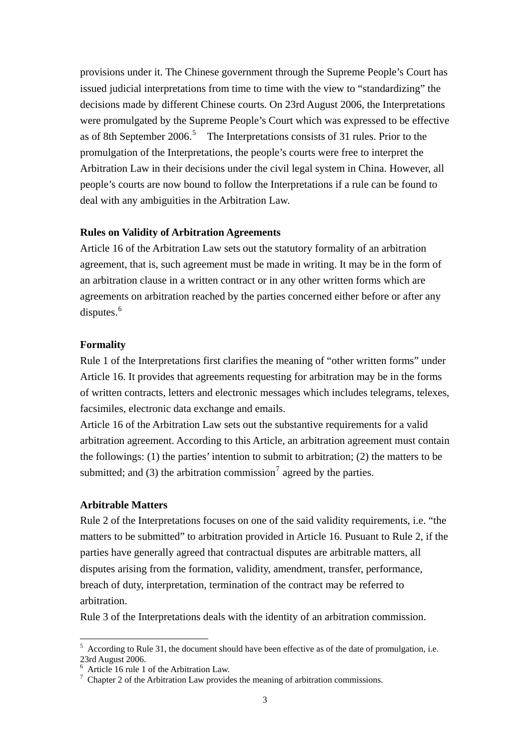provisions under it. The Chinese government through the Supreme People's Court has issued judicial interpretations from time to time with the view to "standardizing" the decisions made by different Chinese courts. On 23rd August 2006, the Interpretations were promulgated by the Supreme People's Court which was expressed to be effective as of 8th September 2006.<sup>[5](#page-2-0)</sup> The Interpretations consists of 31 rules. Prior to the promulgation of the Interpretations, the people's courts were free to interpret the Arbitration Law in their decisions under the civil legal system in China. However, all people's courts are now bound to follow the Interpretations if a rule can be found to deal with any ambiguities in the Arbitration Law.

#### **Rules on Validity of Arbitration Agreements**

Article 16 of the Arbitration Law sets out the statutory formality of an arbitration agreement, that is, such agreement must be made in writing. It may be in the form of an arbitration clause in a written contract or in any other written forms which are agreements on arbitration reached by the parties concerned either before or after any disputes. $6$ 

#### **Formality**

Rule 1 of the Interpretations first clarifies the meaning of "other written forms" under Article 16. It provides that agreements requesting for arbitration may be in the forms of written contracts, letters and electronic messages which includes telegrams, telexes, facsimiles, electronic data exchange and emails.

Article 16 of the Arbitration Law sets out the substantive requirements for a valid arbitration agreement. According to this Article, an arbitration agreement must contain the followings:  $(1)$  the parties' intention to submit to arbitration;  $(2)$  the matters to be submitted; and (3) the arbitration commission<sup>[7](#page-2-2)</sup> agreed by the parties.

#### **Arbitrable Matters**

1

Rule 2 of the Interpretations focuses on one of the said validity requirements, i.e. "the matters to be submitted" to arbitration provided in Article 16. Pusuant to Rule 2, if the parties have generally agreed that contractual disputes are arbitrable matters, all disputes arising from the formation, validity, amendment, transfer, performance, breach of duty, interpretation, termination of the contract may be referred to arbitration.

Rule 3 of the Interpretations deals with the identity of an arbitration commission.

<span id="page-2-0"></span> $5$  According to Rule 31, the document should have been effective as of the date of promulgation, i.e. 23rd August 2006.

<span id="page-2-1"></span><sup>6</sup> Article 16 rule 1 of the Arbitration Law.

<span id="page-2-2"></span> $\frac{7}{7}$  Chapter 2 of the Arbitration Law provides the meaning of arbitration commissions.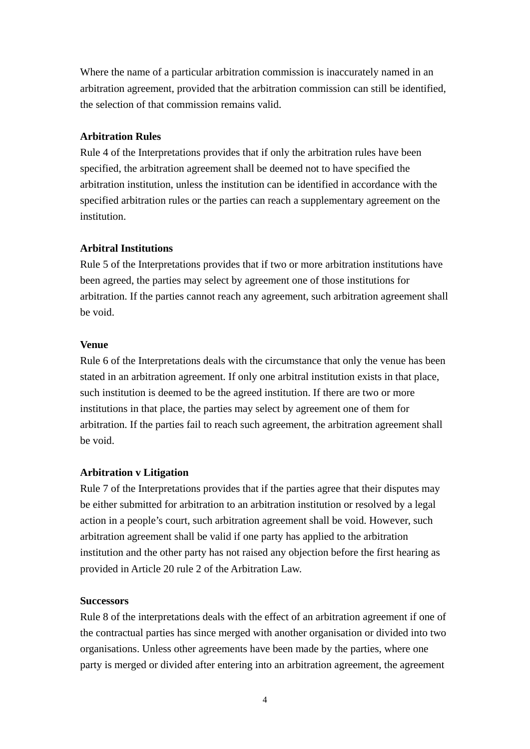Where the name of a particular arbitration commission is inaccurately named in an arbitration agreement, provided that the arbitration commission can still be identified, the selection of that commission remains valid.

## **Arbitration Rules**

Rule 4 of the Interpretations provides that if only the arbitration rules have been specified, the arbitration agreement shall be deemed not to have specified the arbitration institution, unless the institution can be identified in accordance with the specified arbitration rules or the parties can reach a supplementary agreement on the institution.

# **Arbitral Institutions**

Rule 5 of the Interpretations provides that if two or more arbitration institutions have been agreed, the parties may select by agreement one of those institutions for arbitration. If the parties cannot reach any agreement, such arbitration agreement shall be void.

#### **Venue**

Rule 6 of the Interpretations deals with the circumstance that only the venue has been stated in an arbitration agreement. If only one arbitral institution exists in that place, such institution is deemed to be the agreed institution. If there are two or more institutions in that place, the parties may select by agreement one of them for arbitration. If the parties fail to reach such agreement, the arbitration agreement shall be void.

## **Arbitration v Litigation**

Rule 7 of the Interpretations provides that if the parties agree that their disputes may be either submitted for arbitration to an arbitration institution or resolved by a legal action in a people's court, such arbitration agreement shall be void. However, such arbitration agreement shall be valid if one party has applied to the arbitration institution and the other party has not raised any objection before the first hearing as provided in Article 20 rule 2 of the Arbitration Law.

## **Successors**

Rule 8 of the interpretations deals with the effect of an arbitration agreement if one of the contractual parties has since merged with another organisation or divided into two organisations. Unless other agreements have been made by the parties, where one party is merged or divided after entering into an arbitration agreement, the agreement

4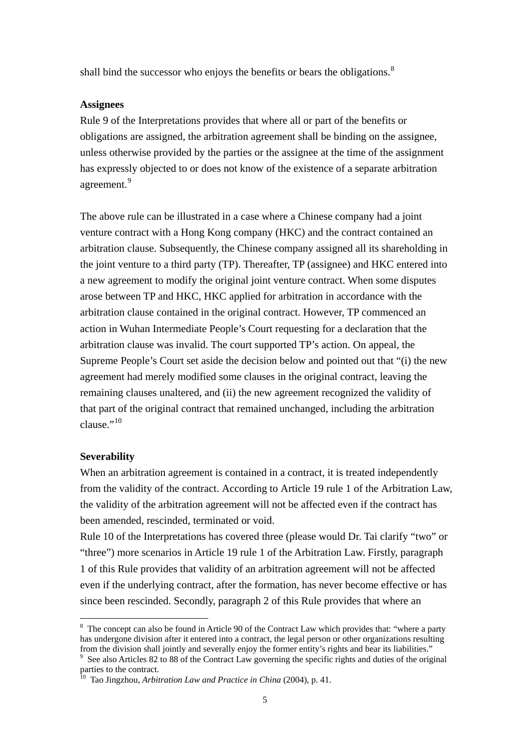shall bind the successor who enjoys the benefits or bears the obligations.<sup>[8](#page-4-0)</sup>

#### **Assignees**

Rule 9 of the Interpretations provides that where all or part of the benefits or obligations are assigned, the arbitration agreement shall be binding on the assignee, unless otherwise provided by the parties or the assignee at the time of the assignment has expressly objected to or does not know of the existence of a separate arbitration agreement.<sup>[9](#page-4-1)</sup>

The above rule can be illustrated in a case where a Chinese company had a joint venture contract with a Hong Kong company (HKC) and the contract contained an arbitration clause. Subsequently, the Chinese company assigned all its shareholding in the joint venture to a third party (TP). Thereafter, TP (assignee) and HKC entered into a new agreement to modify the original joint venture contract. When some disputes arose between TP and HKC, HKC applied for arbitration in accordance with the arbitration clause contained in the original contract. However, TP commenced an action in Wuhan Intermediate People's Court requesting for a declaration that the arbitration clause was invalid. The court supported TP's action. On appeal, the Supreme People's Court set aside the decision below and pointed out that "(i) the new agreement had merely modified some clauses in the original contract, leaving the remaining clauses unaltered, and (ii) the new agreement recognized the validity of that part of the original contract that remained unchanged, including the arbitration  $clause.$ <sup>"[10](#page-4-2)</sup>

#### **Severability**

1

When an arbitration agreement is contained in a contract, it is treated independently from the validity of the contract. According to Article 19 rule 1 of the Arbitration Law, the validity of the arbitration agreement will not be affected even if the contract has been amended, rescinded, terminated or void.

Rule 10 of the Interpretations has covered three (please would Dr. Tai clarify "two" or "three") more scenarios in Article 19 rule 1 of the Arbitration Law. Firstly, paragraph 1 of this Rule provides that validity of an arbitration agreement will not be affected even if the underlying contract, after the formation, has never become effective or has since been rescinded. Secondly, paragraph 2 of this Rule provides that where an

<span id="page-4-0"></span><sup>&</sup>lt;sup>8</sup> The concept can also be found in Article 90 of the Contract Law which provides that: "where a party has undergone division after it entered into a contract, the legal person or other organizations resulting from the division shall jointly and severally enjoy the former entity's rights and bear its liabilities." 9

<span id="page-4-1"></span>See also Articles 82 to 88 of the Contract Law governing the specific rights and duties of the original parties to the contract.

<span id="page-4-2"></span><sup>10</sup> Tao Jingzhou, *Arbitration Law and Practice in China* (2004), p. 41.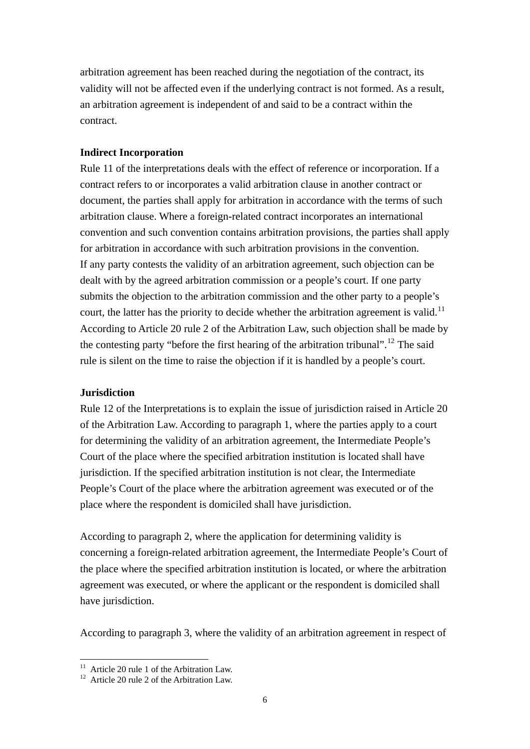arbitration agreement has been reached during the negotiation of the contract, its validity will not be affected even if the underlying contract is not formed. As a result, an arbitration agreement is independent of and said to be a contract within the contract.

# **Indirect Incorporation**

Rule 11 of the interpretations deals with the effect of reference or incorporation. If a contract refers to or incorporates a valid arbitration clause in another contract or document, the parties shall apply for arbitration in accordance with the terms of such arbitration clause. Where a foreign-related contract incorporates an international convention and such convention contains arbitration provisions, the parties shall apply for arbitration in accordance with such arbitration provisions in the convention. If any party contests the validity of an arbitration agreement, such objection can be dealt with by the agreed arbitration commission or a people's court. If one party submits the objection to the arbitration commission and the other party to a people's court, the latter has the priority to decide whether the arbitration agreement is valid.<sup>[11](#page-5-0)</sup> According to Article 20 rule 2 of the Arbitration Law, such objection shall be made by the contesting party "before the first hearing of the arbitration tribunal".<sup>[12](#page-5-1)</sup> The said rule is silent on the time to raise the objection if it is handled by a people's court.

## **Jurisdiction**

Rule 12 of the Interpretations is to explain the issue of jurisdiction raised in Article 20 of the Arbitration Law. According to paragraph 1, where the parties apply to a court for determining the validity of an arbitration agreement, the Intermediate People's Court of the place where the specified arbitration institution is located shall have jurisdiction. If the specified arbitration institution is not clear, the Intermediate People's Court of the place where the arbitration agreement was executed or of the place where the respondent is domiciled shall have jurisdiction.

According to paragraph 2, where the application for determining validity is concerning a foreign-related arbitration agreement, the Intermediate People's Court of the place where the specified arbitration institution is located, or where the arbitration agreement was executed, or where the applicant or the respondent is domiciled shall have jurisdiction.

According to paragraph 3, where the validity of an arbitration agreement in respect of

<sup>&</sup>lt;u>.</u>  $11$  Article 20 rule 1 of the Arbitration Law.

<span id="page-5-1"></span><span id="page-5-0"></span><sup>&</sup>lt;sup>12</sup> Article 20 rule 2 of the Arbitration Law.